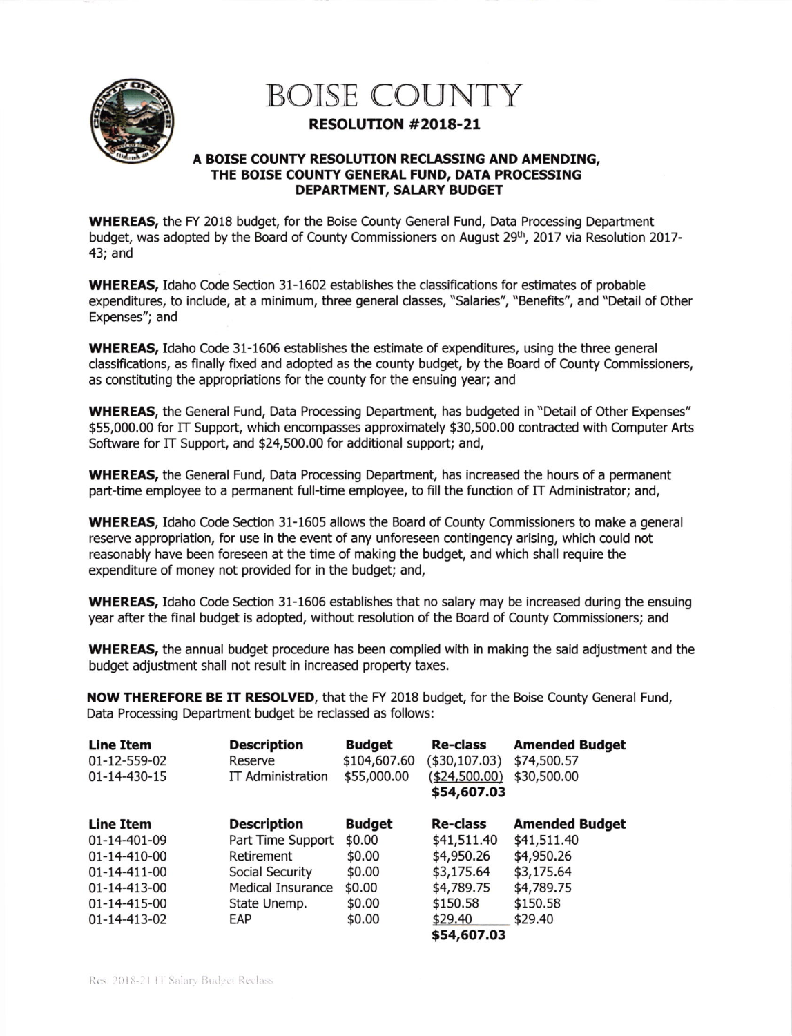

## BOISE COUNTY

## RESOLUTION #2OL8-2L

## A BOISE COUNTY RESOLUTION RECLASSING AND AMENDING, THE BOISE COUNTY GENERAL FUND, DATA PROCESSING DEPARTMENT, SALARY BUDGET

WHEREAS, the FY 2018 budget, for the Boise County General Fund, Data Processing Department budget, was adopted by the Board of County Commissioners on August 29<sup>th</sup>, 2017 via Resolution 2017-43; and

WHEREAS, Idaho Code Section 31-1602 establishes the classifications for estimates of probable expenditures, to include, at a minimum, three general classes, "Salaries", "Benefits", and "Detail of Other Expenses"; and

WHEREAS, Idaho Code 31-1606 establishes the estimate of expenditures, using the three general classifications, as finally flxed and adopted as the county budget, by the Board of County Commissioners, as constituting the appropriations for the county for the ensuing year; and

WHEREAS, the General Fund, Data Processing Department, has budgeted in "Detail of Other Expenses" \$55,000.00 for IT Support, which encompasses approximately \$30,500.00 contracted with Computer Arts Software for IT Support, and \$24,500.00 for additional support; and,

WHEREAS, the General Fund, Data Processing Department, has increased the hours of a permanent part-time employee to a permanent full-time employee, to fill the function of IT Administrator; and,

WHEREAS, Idaho Code Section 31-1505 allows the Board of County Commissioners to make a general reserve appropriation, for use in the event of any unforeseen contingency arising, which could not reasonably have been foreseen at the time of making the budget, and which shall require the expenditure of money not provided for in the budget; and,

WHEREAS, Idaho Code Section 31-1606 establishes that no salary may be increased during the ensuing year after the final budget is adopted, without resolution of the Eoard of County Commissioners; and

WHEREAS, the annual budget procedure has been complied with in making the said adjustment and the budget adjustment shall not result in increased property taxes.

NOw THEREFORE BE fT RESOLVED, that the FY 2018 budget, for the Boise County General Fund, Data Processing Department budget be reclassed as follows:

| <b>Line Item</b><br>01-12-559-02<br>01-14-430-15                                                                                          | <b>Description</b><br>Reserve<br><b>IT Administration</b>                                                                   | <b>Budget</b><br>\$104,607.60<br>\$55,000.00                              | <b>Re-class</b><br>(\$30,107.03)<br>(\$24,500.00)<br>\$54,607.03                                               | <b>Amended Budget</b><br>\$74,500.57<br>\$30,500.00                                                   |
|-------------------------------------------------------------------------------------------------------------------------------------------|-----------------------------------------------------------------------------------------------------------------------------|---------------------------------------------------------------------------|----------------------------------------------------------------------------------------------------------------|-------------------------------------------------------------------------------------------------------|
| Line Item<br>$01 - 14 - 401 - 09$<br>$01 - 14 - 410 - 00$<br>$01 - 14 - 411 - 00$<br>01-14-413-00<br>$01 - 14 - 415 - 00$<br>01-14-413-02 | <b>Description</b><br>Part Time Support<br>Retirement<br>Social Security<br><b>Medical Insurance</b><br>State Unemp.<br>EAP | <b>Budget</b><br>\$0.00<br>\$0.00<br>\$0.00<br>\$0.00<br>\$0.00<br>\$0.00 | <b>Re-class</b><br>\$41,511.40<br>\$4,950.26<br>\$3,175.64<br>\$4,789.75<br>\$150.58<br>\$29.40<br>\$54,607.03 | <b>Amended Budget</b><br>\$41,511.40<br>\$4,950.26<br>\$3,175.64<br>\$4,789.75<br>\$150.58<br>\$29.40 |